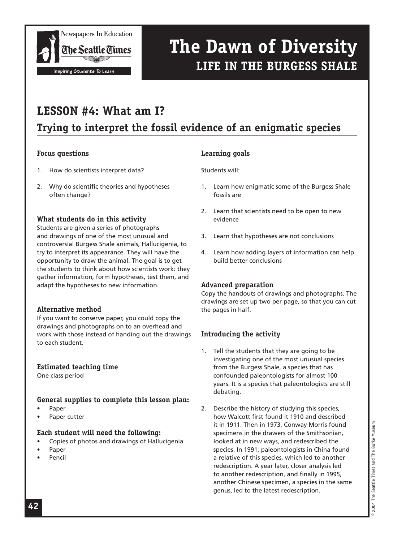

### **LESSON #4: What am I?**

### **Trying to interpret the fossil evidence of an enigmatic species**

#### **Focus questions**

- 1. How do scientists interpret data?
- 2. Why do scientific theories and hypotheses often change?

#### **What students do in this activity**

Students are given a series of photographs and drawings of one of the most unusual and controversial Burgess Shale animals, Hallucigenia, to try to interpret its appearance. They will have the opportunity to draw the animal. The goal is to get the students to think about how scientists work: they gather information, form hypotheses, test them, and adapt the hypotheses to new information.

#### **Alternative method**

If you want to conserve paper, you could copy the drawings and photographs on to an overhead and work with those instead of handing out the drawings to each student.

#### **Estimated teaching time**

One class period

### **General supplies to complete this lesson plan:**

- Paper
- Paper cutter

#### **Each student will need the following:**

- Copies of photos and drawings of Hallucigenia
- Paper
- Pencil

### **Learning goals**

Students will:

- 1. Learn how enigmatic some of the Burgess Shale fossils are
- 2. Learn that scientists need to be open to new evidence
- 3. Learn that hypotheses are not conclusions
- 4. Learn how adding layers of information can help build better conclusions

#### **Advanced preparation**

Copy the handouts of drawings and photographs. The drawings are set up two per page, so that you can cut the pages in half.

### **Introducing the activity**

- 1. Tell the students that they are going to be investigating one of the most unusual species from the Burgess Shale, a species that has confounded paleontologists for almost 100 years. It is a species that paleontologists are still debating.
- 2. Describe the history of studying this species, how Walcott first found it 1910 and described it in 1911. Then in 1973, Conway Morris found specimens in the drawers of the Smithsonian, looked at in new ways, and redescribed the species. In 1991, paleontologists in China found a relative of this species, which led to another redescription. A year later, closer analysis led to another redescription, and finally in 1995, another Chinese specimen, a species in the same genus, led to the latest redescription.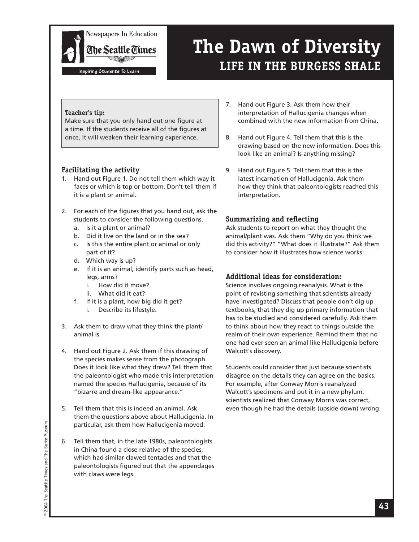

Inspiring Students To Learn

## **The Dawn of Diversity LIFE IN THE BURGESS SHALE**

#### **Teacher's tip:**

Make sure that you only hand out one figure at a time. If the students receive all of the figures at once, it will weaken their learning experience.

#### **Facilitating the activity**

- 1. Hand out Figure 1. Do not tell them which way it faces or which is top or bottom. Don't tell them if it is a plant or animal.
- 2. For each of the figures that you hand out, ask the students to consider the following questions.
	- a. Is it a plant or animal?
	- b. Did it live on the land or in the sea?
	- c. Is this the entire plant or animal or only part of it?
	- d. Which way is up?
	- e. If it is an animal, identify parts such as head, legs, arms?
		- i. How did it move?
		- ii. What did it eat?
	- f. If it is a plant, how big did it get?
		- i. Describe its lifestyle.
- 3. Ask them to draw what they think the plant/ animal is.
- 4. Hand out Figure 2. Ask them if this drawing of the species makes sense from the photograph. Does it look like what they drew? Tell them that the paleontologist who made this interpretation named the species Hallucigenia, because of its "bizarre and dream-like appearance."
- 5. Tell them that this is indeed an animal. Ask them the questions above about Hallucigenia. In particular, ask them how Hallucigenia moved.
- 6. Tell them that, in the late 1980s, paleontologists in China found a close relative of the species, which had similar clawed tentacles and that the paleontologists figured out that the appendages with claws were legs.
- 7. Hand out Figure 3. Ask them how their interpretation of Hallucigenia changes when combined with the new information from China.
- 8. Hand out Figure 4. Tell them that this is the drawing based on the new information. Does this look like an animal? Is anything missing?
- 9. Hand out Figure 5. Tell them that this is the latest incarnation of Hallucigenia. Ask them how they think that paleontologists reached this interpretation.

#### **Summarizing and reflecting**

Ask students to report on what they thought the animal/plant was. Ask them "Why do you think we did this activity?" "What does it illustrate?" Ask them to consider how it illustrates how science works.

#### **Additional ideas for consideration:**

Science involves ongoing reanalysis. What is the point of revisting something that scientists already have investigated? Discuss that people don't dig up textbooks, that they dig up primary information that has to be studied and considered carefully. Ask them to think about how they react to things outside the realm of their own experience. Remind them that no one had ever seen an animal like Hallucigenia before Walcott's discovery.

Students could consider that just because scientists disagree on the details they can agree on the basics. For example, after Conway Morris reanalyzed Walcott's specimens and put it in a new phylum, scientists realized that Conway Morris was correct, even though he had the details (upside down) wrong.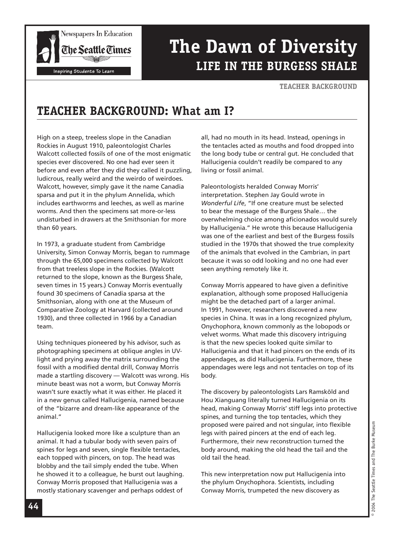

#### **TEACHER BACKGROUND**

### **TEACHER BACKGROUND: What am I?**

High on a steep, treeless slope in the Canadian Rockies in August 1910, paleontologist Charles Walcott collected fossils of one of the most enigmatic species ever discovered. No one had ever seen it before and even after they did they called it puzzling, ludicrous, really weird and the weirdo of weirdoes. Walcott, however, simply gave it the name Canadia sparsa and put it in the phylum Annelida, which includes earthworms and leeches, as well as marine worms. And then the specimens sat more-or-less undisturbed in drawers at the Smithsonian for more than 60 years.

In 1973, a graduate student from Cambridge University, Simon Conway Morris, began to rummage through the 65,000 specimens collected by Walcott from that treeless slope in the Rockies. (Walcott returned to the slope, known as the Burgess Shale, seven times in 15 years.) Conway Morris eventually found 30 specimens of Canadia sparsa at the Smithsonian, along with one at the Museum of Comparative Zoology at Harvard (collected around 1930), and three collected in 1966 by a Canadian team.

Using techniques pioneered by his advisor, such as photographing specimens at oblique angles in UVlight and prying away the matrix surrounding the fossil with a modified dental drill, Conway Morris made a startling discovery — Walcott was wrong. His minute beast was not a worm, but Conway Morris wasn't sure exactly what it was either. He placed it in a new genus called Hallucigenia, named because of the "bizarre and dream-like appearance of the animal."

Hallucigenia looked more like a sculpture than an animal. It had a tubular body with seven pairs of spines for legs and seven, single flexible tentacles, each topped with pincers, on top. The head was blobby and the tail simply ended the tube. When he showed it to a colleague, he burst out laughing. Conway Morris proposed that Hallucigenia was a mostly stationary scavenger and perhaps oddest of

all, had no mouth in its head. Instead, openings in the tentacles acted as mouths and food dropped into the long body tube or central gut. He concluded that Hallucigenia couldn't readily be compared to any living or fossil animal.

Paleontologists heralded Conway Morris' interpretation. Stephen Jay Gould wrote in *Wonderful Life*, "If one creature must be selected to bear the message of the Burgess Shale… the overwhelming choice among aficionados would surely by Hallucigenia." He wrote this because Hallucigenia was one of the earliest and best of the Burgess fossils studied in the 1970s that showed the true complexity of the animals that evolved in the Cambrian, in part because it was so odd looking and no one had ever seen anything remotely like it.

Conway Morris appeared to have given a definitive explanation, although some proposed Hallucigenia might be the detached part of a larger animal. In 1991, however, researchers discovered a new species in China. It was in a long recognized phylum, Onychophora, known commonly as the lobopods or velvet worms. What made this discovery intriguing is that the new species looked quite similar to Hallucigenia and that it had pincers on the ends of its appendages, as did Hallucigenia. Furthermore, these appendages were legs and not tentacles on top of its body.

The discovery by paleontologists Lars Ramsköld and Hou Xianguang literally turned Hallucigenia on its head, making Conway Morris' stiff legs into protective spines, and turning the top tentacles, which they proposed were paired and not singular, into flexible legs with paired pincers at the end of each leg. Furthermore, their new reconstruction turned the body around, making the old head the tail and the old tail the head.

This new interpretation now put Hallucigenia into the phylum Onychophora. Scientists, including Conway Morris, trumpeted the new discovery as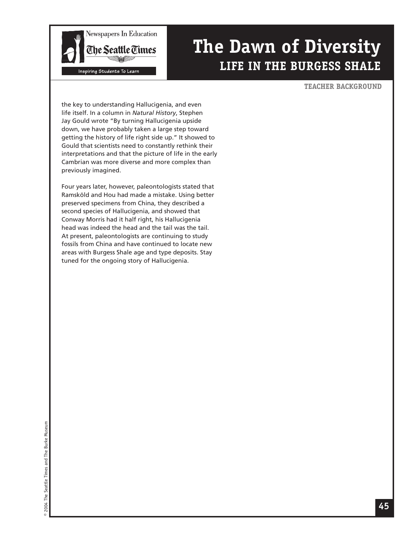

#### **TEACHER BACKGROUND**

the key to understanding Hallucigenia, and even life itself. In a column in *Natural History*, Stephen Jay Gould wrote "By turning Hallucigenia upside down, we have probably taken a large step toward getting the history of life right side up." It showed to Gould that scientists need to constantly rethink their interpretations and that the picture of life in the early Cambrian was more diverse and more complex than previously imagined.

Four years later, however, paleontologists stated that Ramsköld and Hou had made a mistake. Using better preserved specimens from China, they described a second species of Hallucigenia, and showed that Conway Morris had it half right, his Hallucigenia head was indeed the head and the tail was the tail. At present, paleontologists are continuing to study fossils from China and have continued to locate new areas with Burgess Shale age and type deposits. Stay tuned for the ongoing story of Hallucigenia.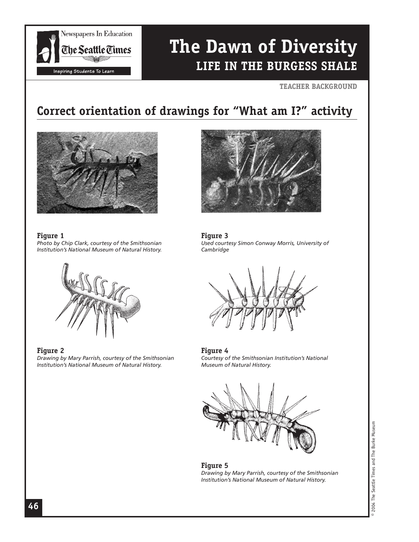

#### **TEACHER BACKGROUND**

### **Correct orientation of drawings for "What am I?" activity**



**Figure 1**  *Photo by Chip Clark, courtesy of the Smithsonian Institution's National Museum of Natural History.*



#### **Figure 2**

*Drawing by Mary Parrish, courtesy of the Smithsonian Institution's National Museum of Natural History.*



**Figure 3** *Used courtesy Simon Conway Morris, University of Cambridge*



#### **Figure 4** *Courtesy of the Smithsonian Institution's National Museum of Natural History.*



#### **Figure 5** *Drawing by Mary Parrish, courtesy of the Smithsonian Institution's National Museum of Natural History.*

2004 The Seattle Times and The Burke Museum © 2004 The Seattle Times and The Burke Museum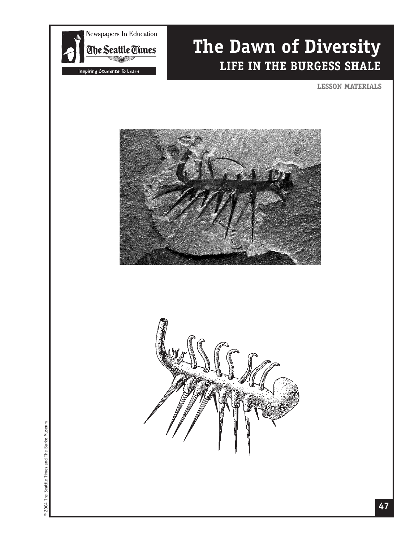

#### **LESSON MATERIALS**





@ 2004 The Seattle Times and The Burke Museum © 2004 The Seattle Times and The Burke Museum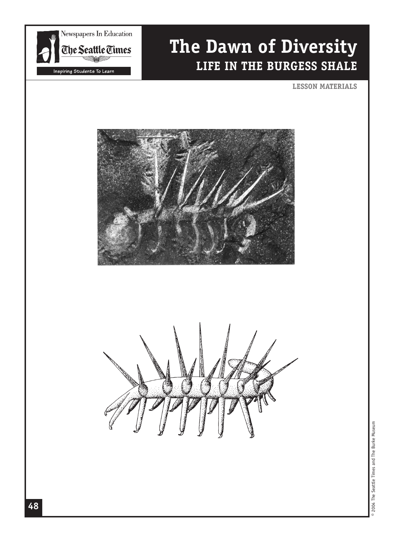

**LESSON MATERIALS**





@ 2004 The Seattle Times and The Burke Museum © 2004 The Seattle Times and The Burke Museum